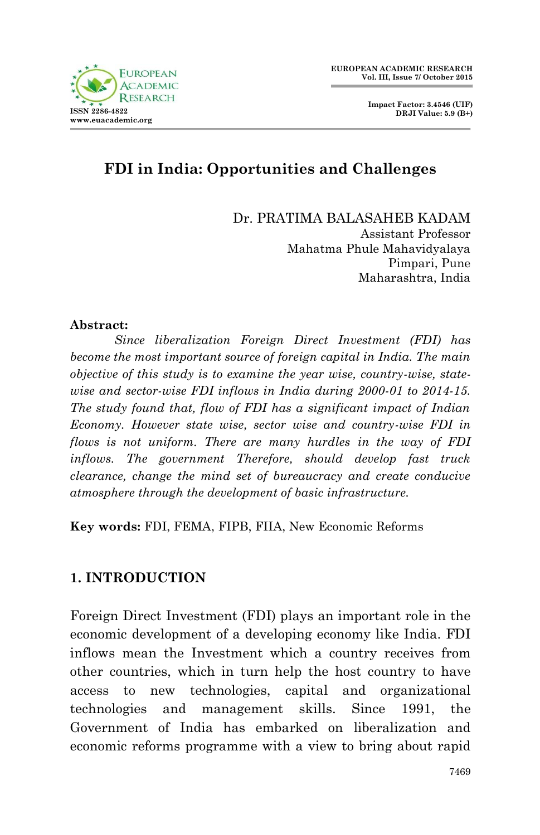

 **Impact Factor: 3.4546 (UIF) DRJI Value: 5.9 (B+)**

## **FDI in India: Opportunities and Challenges**

Dr. PRATIMA BALASAHEB KADAM

Assistant Professor Mahatma Phule Mahavidyalaya Pimpari, Pune Maharashtra, India

#### **Abstract:**

*Since liberalization Foreign Direct Investment (FDI) has become the most important source of foreign capital in India. The main objective of this study is to examine the year wise, country-wise, statewise and sector-wise FDI inflows in India during 2000-01 to 2014-15. The study found that, flow of FDI has a significant impact of Indian Economy. However state wise, sector wise and country-wise FDI in flows is not uniform. There are many hurdles in the way of FDI inflows. The government Therefore, should develop fast truck clearance, change the mind set of bureaucracy and create conducive atmosphere through the development of basic infrastructure.* 

**Key words:** FDI, FEMA, FIPB, FIIA, New Economic Reforms

### **1. INTRODUCTION**

Foreign Direct Investment (FDI) plays an important role in the economic development of a developing economy like India. FDI inflows mean the Investment which a country receives from other countries, which in turn help the host country to have access to new technologies, capital and organizational technologies and management skills. Since 1991, the Government of India has embarked on liberalization and economic reforms programme with a view to bring about rapid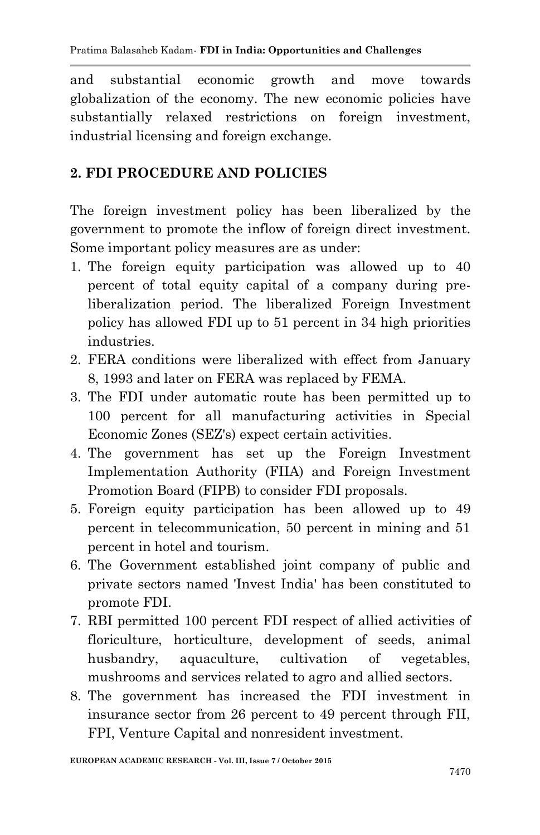and substantial economic growth and move towards globalization of the economy. The new economic policies have substantially relaxed restrictions on foreign investment, industrial licensing and foreign exchange.

### **2. FDI PROCEDURE AND POLICIES**

The foreign investment policy has been liberalized by the government to promote the inflow of foreign direct investment. Some important policy measures are as under:

- 1. The foreign equity participation was allowed up to 40 percent of total equity capital of a company during preliberalization period. The liberalized Foreign Investment policy has allowed FDI up to 51 percent in 34 high priorities industries.
- 2. FERA conditions were liberalized with effect from January 8, 1993 and later on FERA was replaced by FEMA.
- 3. The FDI under automatic route has been permitted up to 100 percent for all manufacturing activities in Special Economic Zones (SEZ's) expect certain activities.
- 4. The government has set up the Foreign Investment Implementation Authority (FIIA) and Foreign Investment Promotion Board (FIPB) to consider FDI proposals.
- 5. Foreign equity participation has been allowed up to 49 percent in telecommunication, 50 percent in mining and 51 percent in hotel and tourism.
- 6. The Government established joint company of public and private sectors named 'Invest India' has been constituted to promote FDI.
- 7. RBI permitted 100 percent FDI respect of allied activities of floriculture, horticulture, development of seeds, animal husbandry, aquaculture, cultivation of vegetables, mushrooms and services related to agro and allied sectors.
- 8. The government has increased the FDI investment in insurance sector from 26 percent to 49 percent through FII, FPI, Venture Capital and nonresident investment.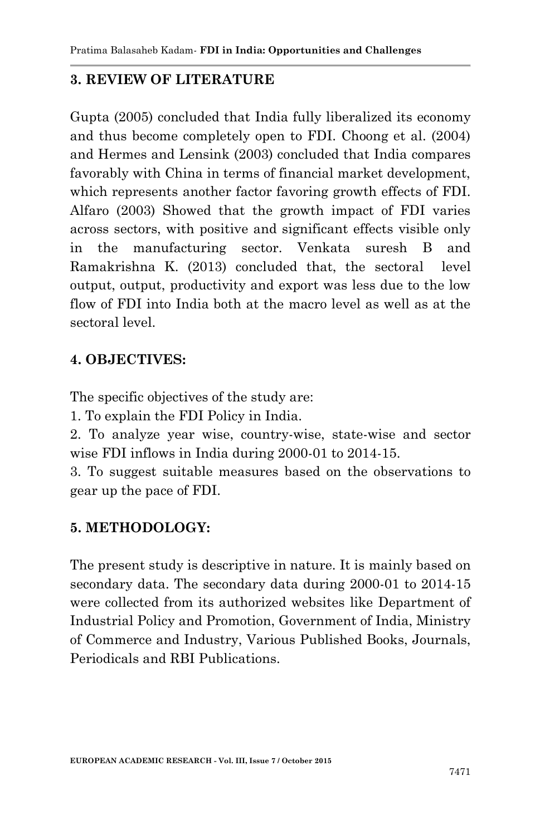### **3. REVIEW OF LITERATURE**

Gupta (2005) concluded that India fully liberalized its economy and thus become completely open to FDI. Choong et al. (2004) and Hermes and Lensink (2003) concluded that India compares favorably with China in terms of financial market development, which represents another factor favoring growth effects of FDI. Alfaro (2003) Showed that the growth impact of FDI varies across sectors, with positive and significant effects visible only in the manufacturing sector. Venkata suresh B and Ramakrishna K. (2013) concluded that, the sectoral level output, output, productivity and export was less due to the low flow of FDI into India both at the macro level as well as at the sectoral level.

### **4. OBJECTIVES:**

The specific objectives of the study are:

1. To explain the FDI Policy in India.

2. To analyze year wise, country-wise, state-wise and sector wise FDI inflows in India during 2000-01 to 2014-15.

3. To suggest suitable measures based on the observations to gear up the pace of FDI.

# **5. METHODOLOGY:**

The present study is descriptive in nature. It is mainly based on secondary data. The secondary data during 2000-01 to 2014-15 were collected from its authorized websites like Department of Industrial Policy and Promotion, Government of India, Ministry of Commerce and Industry, Various Published Books, Journals, Periodicals and RBI Publications.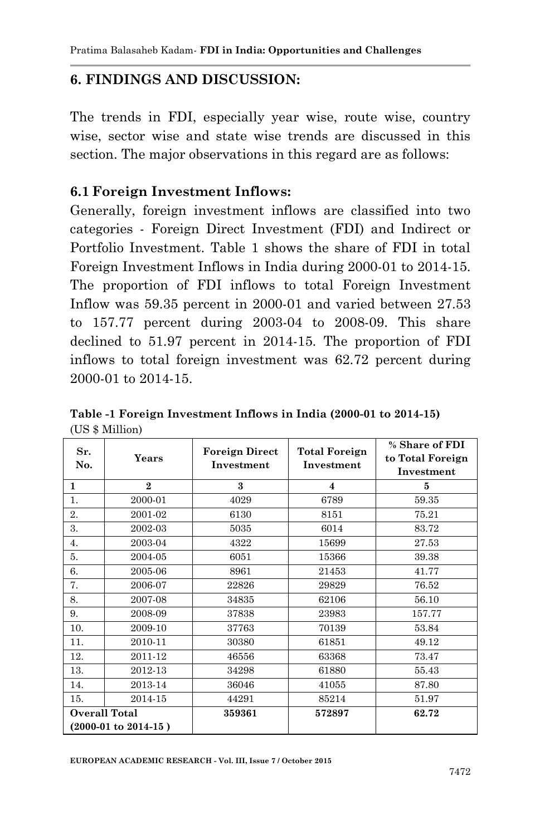### **6. FINDINGS AND DISCUSSION:**

The trends in FDI, especially year wise, route wise, country wise, sector wise and state wise trends are discussed in this section. The major observations in this regard are as follows:

#### **6.1 Foreign Investment Inflows:**

Generally, foreign investment inflows are classified into two categories - Foreign Direct Investment (FDI) and Indirect or Portfolio Investment. Table 1 shows the share of FDI in total Foreign Investment Inflows in India during 2000-01 to 2014-15. The proportion of FDI inflows to total Foreign Investment Inflow was 59.35 percent in 2000-01 and varied between 27.53 to 157.77 percent during 2003-04 to 2008-09. This share declined to 51.97 percent in 2014-15. The proportion of FDI inflows to total foreign investment was 62.72 percent during 2000-01 to 2014-15.

|                                 | <b>Years</b> | <b>Foreign Direct</b><br>Investment | <b>Total Foreign</b><br>Investment | % Share of FDI   |
|---------------------------------|--------------|-------------------------------------|------------------------------------|------------------|
| Sr.<br>No.                      |              |                                     |                                    | to Total Foreign |
|                                 |              |                                     |                                    | Investment       |
| $\mathbf{1}$                    | $\mathbf{2}$ | 3                                   | $\overline{\mathbf{4}}$            | 5                |
| 1.                              | 2000-01      | 4029                                | 6789                               | 59.35            |
| 2.                              | 2001-02      | 6130                                | 8151                               | 75.21            |
| 3.                              | 2002-03      | 5035                                | 6014                               | 83.72            |
| 4.                              | 2003-04      | 4322                                | 15699                              | 27.53            |
| 5.                              | 2004-05      | 6051                                | 15366                              | 39.38            |
| 6.                              | 2005-06      | 8961                                | 21453                              | 41.77            |
| 7.                              | 2006-07      | 22826                               | 29829                              | 76.52            |
| 8.                              | 2007-08      | 34835                               | 62106                              | 56.10            |
| 9.                              | 2008-09      | 37838                               | 23983                              | 157.77           |
| 10.                             | 2009-10      | 37763                               | 70139                              | 53.84            |
| 11.                             | 2010-11      | 30380                               | 61851                              | 49.12            |
| 12.                             | 2011-12      | 46556                               | 63368                              | 73.47            |
| 13.                             | 2012-13      | 34298                               | 61880                              | 55.43            |
| 14.                             | 2013-14      | 36046                               | 41055                              | 87.80            |
| 15.                             | 2014-15      | 44291                               | 85214                              | 51.97            |
| <b>Overall Total</b>            |              | 359361                              | 572897                             | 62.72            |
| $(2000-01 \text{ to } 2014-15)$ |              |                                     |                                    |                  |

**Table -1 Foreign Investment Inflows in India (2000-01 to 2014-15)** (US \$ Million)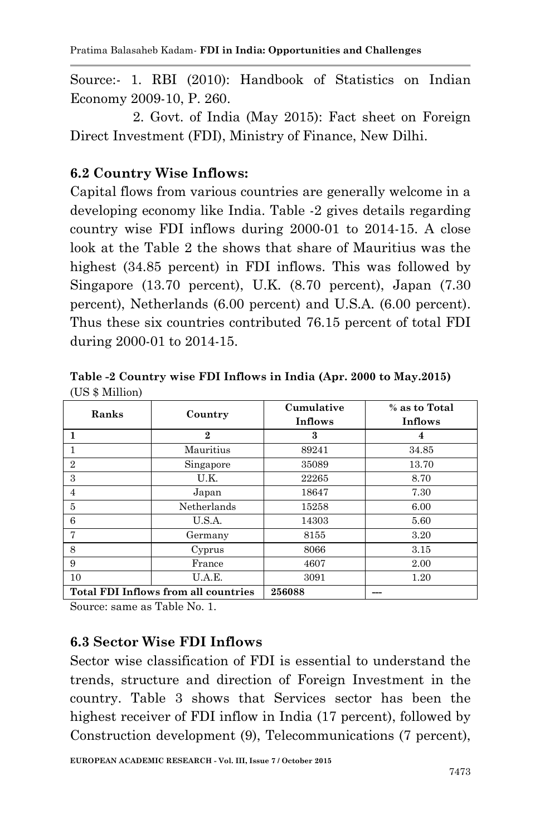Source:- 1. RBI (2010): Handbook of Statistics on Indian Economy 2009-10, P. 260.

 2. Govt. of India (May 2015): Fact sheet on Foreign Direct Investment (FDI), Ministry of Finance, New Dilhi.

## **6.2 Country Wise Inflows:**

Capital flows from various countries are generally welcome in a developing economy like India. Table -2 gives details regarding country wise FDI inflows during 2000-01 to 2014-15. A close look at the Table 2 the shows that share of Mauritius was the highest (34.85 percent) in FDI inflows. This was followed by Singapore (13.70 percent), U.K. (8.70 percent), Japan (7.30 percent), Netherlands (6.00 percent) and U.S.A. (6.00 percent). Thus these six countries contributed 76.15 percent of total FDI during 2000-01 to 2014-15.

**Table -2 Country wise FDI Inflows in India (Apr. 2000 to May.2015)** (US \$ Million)

| Ranks          | Country                                     | Cumulative<br>Inflows | % as to Total<br>Inflows |
|----------------|---------------------------------------------|-----------------------|--------------------------|
|                | $\bf{2}$                                    | 3                     |                          |
|                | Mauritius                                   | 89241                 | 34.85                    |
| $\overline{2}$ | Singapore                                   | 35089                 | 13.70                    |
| 3              | U.K.                                        | 22265                 | 8.70                     |
| 4              | Japan                                       | 18647                 | 7.30                     |
| 5              | Netherlands                                 | 15258                 | 6.00                     |
| 6              | U.S.A.                                      | 14303                 | 5.60                     |
|                | Germany                                     | 8155                  | 3.20                     |
| 8              | Cyprus                                      | 8066                  | 3.15                     |
| 9              | France                                      | 4607                  | 2.00                     |
| 10             | U.A.E.                                      | 3091                  | 1.20                     |
|                | <b>Total FDI Inflows from all countries</b> | 256088                |                          |

Source: same as Table No. 1.

### **6.3 Sector Wise FDI Inflows**

Sector wise classification of FDI is essential to understand the trends, structure and direction of Foreign Investment in the country. Table 3 shows that Services sector has been the highest receiver of FDI inflow in India (17 percent), followed by Construction development (9), Telecommunications (7 percent),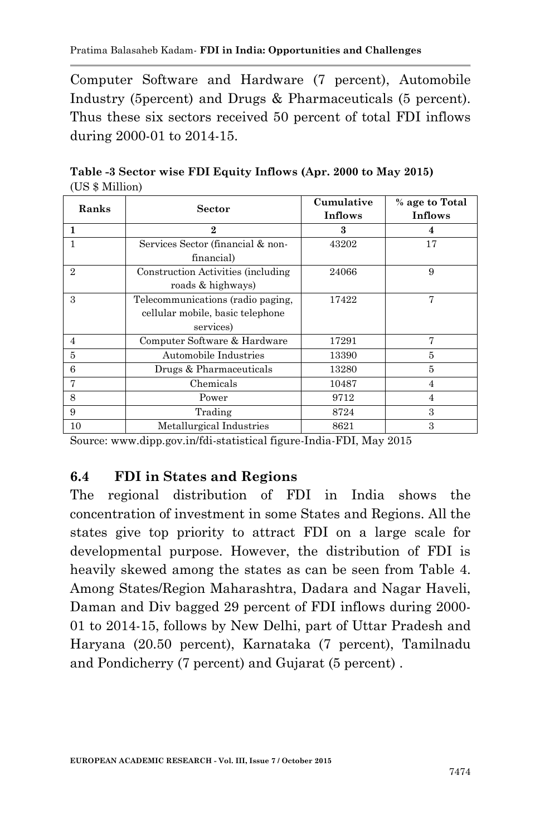Computer Software and Hardware (7 percent), Automobile Industry (5percent) and Drugs & Pharmaceuticals (5 percent). Thus these six sectors received 50 percent of total FDI inflows during 2000-01 to 2014-15.

| Ranks          | <b>Sector</b>                       | Cumulative<br>Inflows | % age to Total<br>Inflows |
|----------------|-------------------------------------|-----------------------|---------------------------|
|                | $\mathbf{2}$                        | 3                     |                           |
|                | Services Sector (financial & non-   | 43202                 | 17                        |
|                | financial)                          |                       |                           |
| $\overline{2}$ | Construction Activities (including) | 24066                 | 9                         |
|                | roads & highways)                   |                       |                           |
| 3              | Telecommunications (radio paging,   | 17422                 | 7                         |
|                | cellular mobile, basic telephone    |                       |                           |
|                | services)                           |                       |                           |
| $\overline{4}$ | Computer Software & Hardware        | 17291                 | 7                         |
| 5              | Automobile Industries               | 13390                 | 5                         |
| 6              | Drugs & Pharmaceuticals             | 13280                 | 5                         |
|                | Chemicals                           | 10487                 | 4                         |
| 8              | Power                               | 9712                  | $\overline{4}$            |
| 9              | Trading                             | 8724                  | $\mathbf{a}$              |
| 10             | Metallurgical Industries            | 8621                  | 3                         |

**Table -3 Sector wise FDI Equity Inflows (Apr. 2000 to May 2015)** (US \$ Million)

Source: www.dipp.gov.in/fdi-statistical figure-India-FDI, May 2015

### **6.4 FDI in States and Regions**

The regional distribution of FDI in India shows the concentration of investment in some States and Regions. All the states give top priority to attract FDI on a large scale for developmental purpose. However, the distribution of FDI is heavily skewed among the states as can be seen from Table 4. Among States/Region Maharashtra, Dadara and Nagar Haveli, Daman and Div bagged 29 percent of FDI inflows during 2000- 01 to 2014-15, follows by New Delhi, part of Uttar Pradesh and Haryana (20.50 percent), Karnataka (7 percent), Tamilnadu and Pondicherry (7 percent) and Gujarat (5 percent) .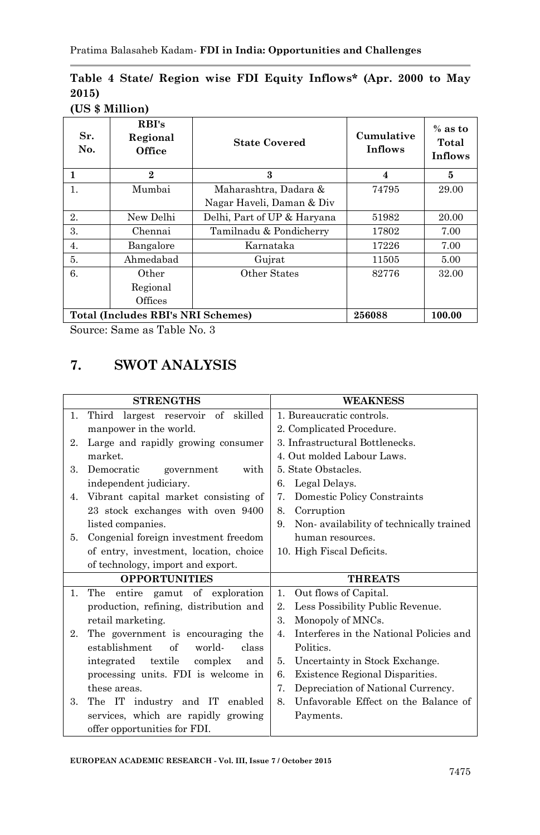### **Table 4 State/ Region wise FDI Equity Inflows\* (Apr. 2000 to May 2015)**

#### **(US \$ Million)**

| Sr.<br>No.                                   | RBI's<br>Regional<br>Office | <b>State Covered</b>        | Cumulative<br><b>Inflows</b> | $%$ as to<br>Total<br>Inflows |
|----------------------------------------------|-----------------------------|-----------------------------|------------------------------|-------------------------------|
| 1                                            | $\mathbf{2}$                | 3                           | 4                            | 5                             |
| 1.                                           | Mumbai                      | Maharashtra, Dadara &       | 74795                        | 29.00                         |
|                                              |                             | Nagar Haveli, Daman & Div   |                              |                               |
| $\overline{2}$ .                             | New Delhi                   | Delhi, Part of UP & Haryana | 51982                        | 20.00                         |
| 3.                                           | Chennai                     | Tamilnadu & Pondicherry     | 17802                        | 7.00                          |
| 4.                                           | Bangalore                   | Karnataka                   | 17226                        | 7.00                          |
| 5.                                           | Ahmedabad                   | Gujrat                      | 11505                        | 5.00                          |
| 6.                                           | Other                       | Other States                | 82776                        | 32.00                         |
|                                              | Regional                    |                             |                              |                               |
|                                              | Offices                     |                             |                              |                               |
| Total (Includes RBI's NRI Schemes)<br>256088 |                             |                             | 100.00                       |                               |

Source: Same as Table No. 3

# **7. SWOT ANALYSIS**

|                | <b>STRENGTHS</b>                               | <b>WEAKNESS</b>                               |
|----------------|------------------------------------------------|-----------------------------------------------|
| 1.             | of skilled<br>Third largest reservoir          | 1. Bureaucratic controls.                     |
|                | manpower in the world.                         | 2. Complicated Procedure.                     |
| 2.             | Large and rapidly growing consumer             | 3. Infrastructural Bottlenecks.               |
|                | market.                                        | 4. Out molded Labour Laws.                    |
| 3.             | Democratic<br>with<br>government               | 5. State Obstacles.                           |
|                | independent judiciary.                         | Legal Delays.<br>6.                           |
| 4.             | Vibrant capital market consisting of           | Domestic Policy Constraints<br>7.             |
|                | 23 stock exchanges with oven 9400              | Corruption<br>8.                              |
|                | listed companies.                              | Non-availability of technically trained<br>9. |
| 5.             | Congenial foreign investment freedom           | human resources.                              |
|                | of entry, investment, location, choice         | 10. High Fiscal Deficits.                     |
|                | of technology, import and export.              |                                               |
|                | <b>OPPORTUNITIES</b>                           | <b>THREATS</b>                                |
| $\mathbf{1}$ . | entire gamut of exploration<br>The             | Out flows of Capital.<br>1.                   |
|                | production, refining, distribution and         | Less Possibility Public Revenue.<br>$2_{-}$   |
|                | retail marketing.                              | Monopoly of MNCs.<br>3.                       |
| 2.             | The government is encouraging the              | Interferes in the National Policies and<br>4. |
|                | establishment<br>$\alpha$ f<br>world-<br>class | Politics.                                     |
|                | integrated textile<br>complex<br>and           | Uncertainty in Stock Exchange.<br>5.          |
|                | processing units. FDI is welcome in            | Existence Regional Disparities.<br>6.         |
|                | these areas.                                   | Depreciation of National Currency.<br>7.      |
| 3.             | The IT industry and IT enabled                 | Unfavorable Effect on the Balance of<br>8.    |
|                | services, which are rapidly growing            | Payments.                                     |
|                | offer opportunities for FDI.                   |                                               |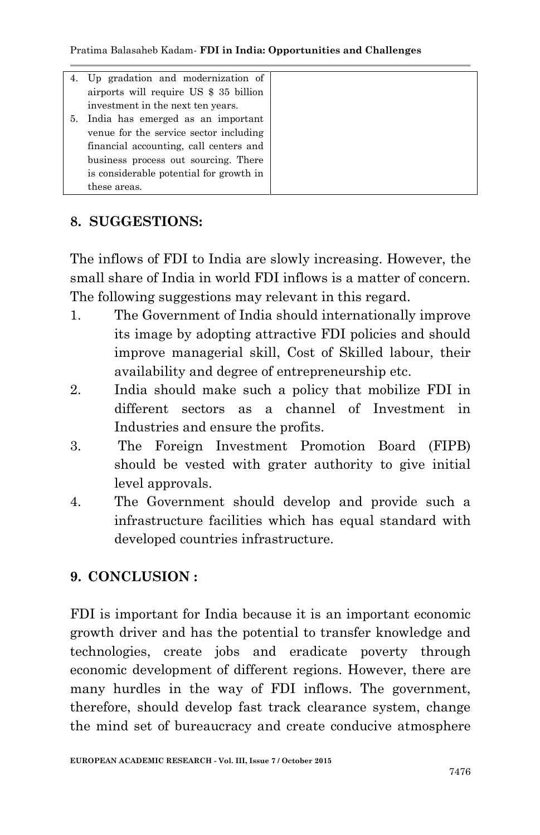Pratima Balasaheb Kadam*-* **FDI in India: Opportunities and Challenges**

| 4. Up gradation and modernization of    |  |
|-----------------------------------------|--|
| airports will require US \$ 35 billion  |  |
| investment in the next ten years.       |  |
| 5. India has emerged as an important    |  |
| venue for the service sector including  |  |
| financial accounting, call centers and  |  |
| business process out sourcing. There    |  |
| is considerable potential for growth in |  |
| these areas.                            |  |

### **8. SUGGESTIONS:**

The inflows of FDI to India are slowly increasing. However, the small share of India in world FDI inflows is a matter of concern. The following suggestions may relevant in this regard.

- 1. The Government of India should internationally improve its image by adopting attractive FDI policies and should improve managerial skill, Cost of Skilled labour, their availability and degree of entrepreneurship etc.
- 2. India should make such a policy that mobilize FDI in different sectors as a channel of Investment in Industries and ensure the profits.
- 3. The Foreign Investment Promotion Board (FIPB) should be vested with grater authority to give initial level approvals.
- 4. The Government should develop and provide such a infrastructure facilities which has equal standard with developed countries infrastructure.

### **9. CONCLUSION :**

FDI is important for India because it is an important economic growth driver and has the potential to transfer knowledge and technologies, create jobs and eradicate poverty through economic development of different regions. However, there are many hurdles in the way of FDI inflows. The government, therefore, should develop fast track clearance system, change the mind set of bureaucracy and create conducive atmosphere